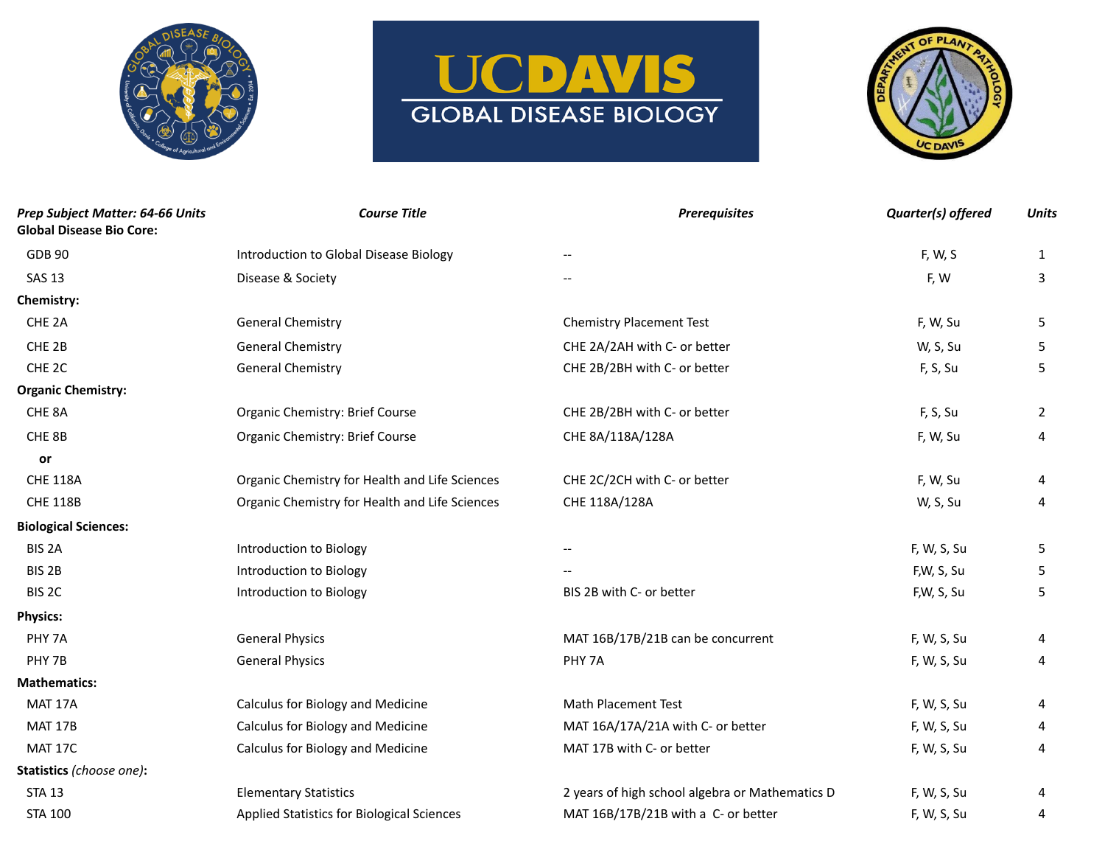





| Prep Subject Matter: 64-66 Units<br><b>Global Disease Bio Core:</b> | <b>Course Title</b>                            | <b>Prerequisites</b>                            | Quarter(s) offered | <b>Units</b>   |
|---------------------------------------------------------------------|------------------------------------------------|-------------------------------------------------|--------------------|----------------|
| <b>GDB 90</b>                                                       | Introduction to Global Disease Biology         |                                                 | F, W, S            | $\mathbf{1}$   |
| <b>SAS 13</b>                                                       | Disease & Society                              |                                                 | F, W               | 3              |
| Chemistry:                                                          |                                                |                                                 |                    |                |
| CHE <sub>2A</sub>                                                   | <b>General Chemistry</b>                       | <b>Chemistry Placement Test</b>                 | F, W, Su           | 5              |
| CHE <sub>2B</sub>                                                   | <b>General Chemistry</b>                       | CHE 2A/2AH with C- or better                    | W, S, Su           | 5              |
| CHE <sub>2C</sub>                                                   | <b>General Chemistry</b>                       | CHE 2B/2BH with C- or better                    | F, S, Su           | 5              |
| <b>Organic Chemistry:</b>                                           |                                                |                                                 |                    |                |
| CHE 8A                                                              | Organic Chemistry: Brief Course                | CHE 2B/2BH with C- or better                    | F, S, Su           | $\overline{2}$ |
| CHE 8B                                                              | Organic Chemistry: Brief Course                | CHE 8A/118A/128A                                | F, W, Su           | 4              |
| or                                                                  |                                                |                                                 |                    |                |
| <b>CHE 118A</b>                                                     | Organic Chemistry for Health and Life Sciences | CHE 2C/2CH with C- or better                    | F, W, Su           | 4              |
| <b>CHE 118B</b>                                                     | Organic Chemistry for Health and Life Sciences | CHE 118A/128A                                   | W, S, Su           | 4              |
| <b>Biological Sciences:</b>                                         |                                                |                                                 |                    |                |
| BIS <sub>2A</sub>                                                   | Introduction to Biology                        | $-$                                             | F, W, S, Su        | 5              |
| BIS <sub>2B</sub>                                                   | Introduction to Biology                        |                                                 | F,W, S, Su         | 5              |
| BIS <sub>2C</sub>                                                   | Introduction to Biology                        | BIS 2B with C- or better                        | F,W, S, Su         | 5              |
| <b>Physics:</b>                                                     |                                                |                                                 |                    |                |
| PHY <sub>7A</sub>                                                   | <b>General Physics</b>                         | MAT 16B/17B/21B can be concurrent               | F, W, S, Su        | 4              |
| PHY 7B                                                              | <b>General Physics</b>                         | PHY 7A                                          | F, W, S, Su        | 4              |
| <b>Mathematics:</b>                                                 |                                                |                                                 |                    |                |
| MAT 17A                                                             | Calculus for Biology and Medicine              | <b>Math Placement Test</b>                      | F, W, S, Su        | 4              |
| <b>MAT 17B</b>                                                      | Calculus for Biology and Medicine              | MAT 16A/17A/21A with C- or better               | F, W, S, Su        | 4              |
| MAT 17C                                                             | Calculus for Biology and Medicine              | MAT 17B with C- or better                       | F, W, S, Su        | 4              |
| Statistics (choose one):                                            |                                                |                                                 |                    |                |
| <b>STA 13</b>                                                       | <b>Elementary Statistics</b>                   | 2 years of high school algebra or Mathematics D | F, W, S, Su        | 4              |
| <b>STA 100</b>                                                      | Applied Statistics for Biological Sciences     | MAT 16B/17B/21B with a C- or better             | F, W, S, Su        | 4              |